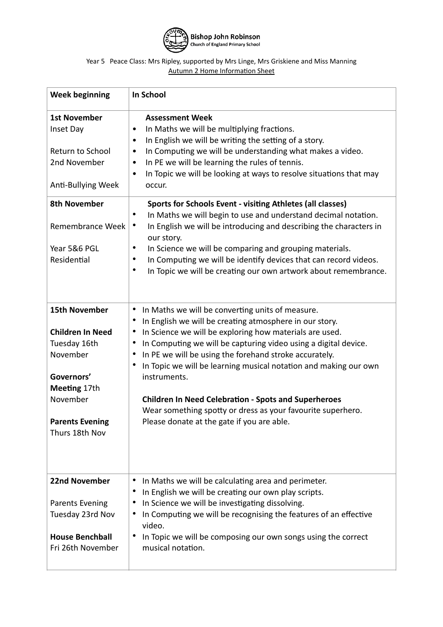

## Year 5 Peace Class: Mrs Ripley, supported by Mrs Linge, Mrs Griskiene and Miss Manning Autumn 2 Home Information Sheet

| <b>Week beginning</b>                                                                                                                                             | In School                                                                                                                                                                                                                                                                                                                                                                                                                                                                                                                                                                                                                                         |
|-------------------------------------------------------------------------------------------------------------------------------------------------------------------|---------------------------------------------------------------------------------------------------------------------------------------------------------------------------------------------------------------------------------------------------------------------------------------------------------------------------------------------------------------------------------------------------------------------------------------------------------------------------------------------------------------------------------------------------------------------------------------------------------------------------------------------------|
| <b>1st November</b><br>Inset Day<br>Return to School<br>2nd November<br>Anti-Bullying Week                                                                        | <b>Assessment Week</b><br>In Maths we will be multiplying fractions.<br>$\bullet$<br>In English we will be writing the setting of a story.<br>$\bullet$<br>In Computing we will be understanding what makes a video.<br>$\bullet$<br>In PE we will be learning the rules of tennis.<br>$\bullet$<br>In Topic we will be looking at ways to resolve situations that may<br>$\bullet$<br>occur.                                                                                                                                                                                                                                                     |
| <b>8th November</b><br>Remembrance Week<br>Year 5&6 PGL<br>Residential                                                                                            | Sports for Schools Event - visiting Athletes (all classes)<br>In Maths we will begin to use and understand decimal notation.<br>٠<br>In English we will be introducing and describing the characters in<br>$\bullet$<br>our story.<br>In Science we will be comparing and grouping materials.<br>٠<br>In Computing we will be identify devices that can record videos.<br>٠<br>In Topic we will be creating our own artwork about remembrance.<br>$\bullet$                                                                                                                                                                                       |
| <b>15th November</b><br><b>Children In Need</b><br>Tuesday 16th<br>November<br>Governors'<br>Meeting 17th<br>November<br><b>Parents Evening</b><br>Thurs 18th Nov | In Maths we will be converting units of measure.<br>$\bullet$<br>In English we will be creating atmosphere in our story.<br>$\bullet$<br>In Science we will be exploring how materials are used.<br>$\bullet$<br>In Computing we will be capturing video using a digital device.<br>$\bullet$<br>In PE we will be using the forehand stroke accurately.<br>$\bullet$<br>In Topic we will be learning musical notation and making our own<br>$\bullet$<br>instruments.<br><b>Children In Need Celebration - Spots and Superheroes</b><br>Wear something spotty or dress as your favourite superhero.<br>Please donate at the gate if you are able. |
| 22nd November<br><b>Parents Evening</b><br>Tuesday 23rd Nov<br><b>House Benchball</b><br>Fri 26th November                                                        | In Maths we will be calculating area and perimeter.<br>In English we will be creating our own play scripts.<br>$\bullet$<br>In Science we will be investigating dissolving.<br>$\bullet$<br>In Computing we will be recognising the features of an effective<br>٠<br>video.<br>In Topic we will be composing our own songs using the correct<br>٠<br>musical notation.                                                                                                                                                                                                                                                                            |